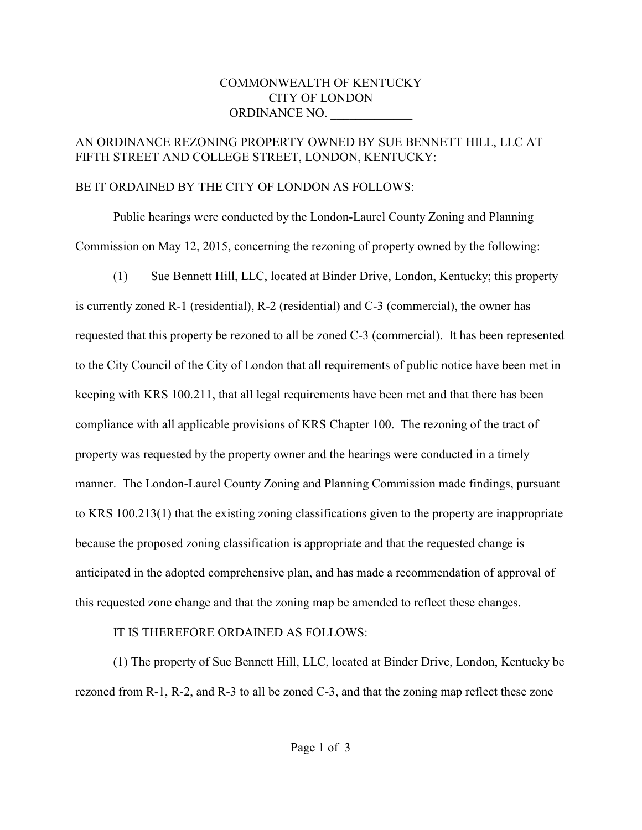## COMMONWEALTH OF KENTUCKY CITY OF LONDON ORDINANCE NO.

## AN ORDINANCE REZONING PROPERTY OWNED BY SUE BENNETT HILL, LLC AT FIFTH STREET AND COLLEGE STREET, LONDON, KENTUCKY:

## BE IT ORDAINED BY THE CITY OF LONDON AS FOLLOWS:

Public hearings were conducted by the London-Laurel County Zoning and Planning Commission on May 12, 2015, concerning the rezoning of property owned by the following:

(1) Sue Bennett Hill, LLC, located at Binder Drive, London, Kentucky; this property is currently zoned R-1 (residential), R-2 (residential) and C-3 (commercial), the owner has requested that this property be rezoned to all be zoned C-3 (commercial). It has been represented to the City Council of the City of London that all requirements of public notice have been met in keeping with KRS 100.211, that all legal requirements have been met and that there has been compliance with all applicable provisions of KRS Chapter 100. The rezoning of the tract of property was requested by the property owner and the hearings were conducted in a timely manner. The London-Laurel County Zoning and Planning Commission made findings, pursuant to KRS 100.213(1) that the existing zoning classifications given to the property are inappropriate because the proposed zoning classification is appropriate and that the requested change is anticipated in the adopted comprehensive plan, and has made a recommendation of approval of this requested zone change and that the zoning map be amended to reflect these changes.

## IT IS THEREFORE ORDAINED AS FOLLOWS:

(1) The property of Sue Bennett Hill, LLC, located at Binder Drive, London, Kentucky be rezoned from R-1, R-2, and R-3 to all be zoned C-3, and that the zoning map reflect these zone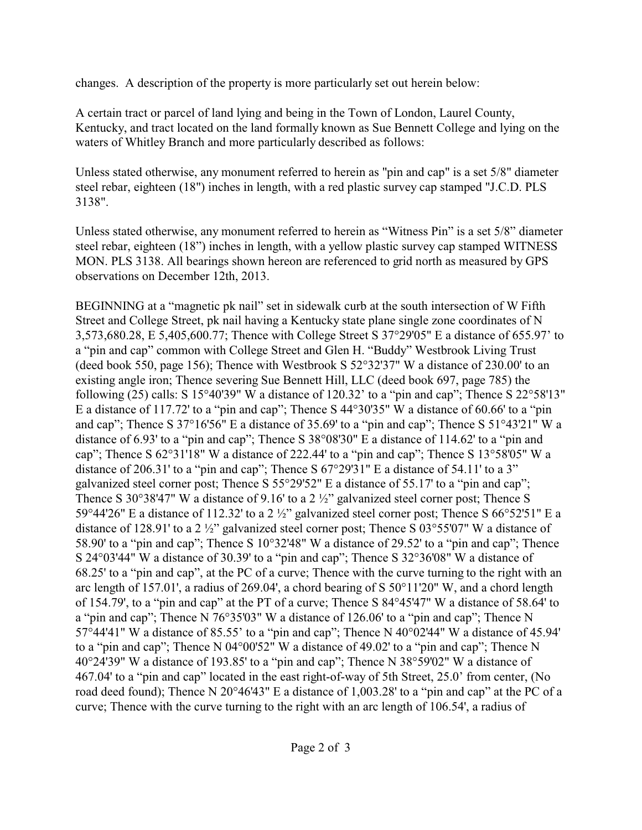changes. A description of the property is more particularly set out herein below:

A certain tract or parcel of land lying and being in the Town of London, Laurel County, Kentucky, and tract located on the land formally known as Sue Bennett College and lying on the waters of Whitley Branch and more particularly described as follows:

Unless stated otherwise, any monument referred to herein as "pin and cap" is a set 5/8" diameter steel rebar, eighteen (18") inches in length, with a red plastic survey cap stamped "J.C.D. PLS 3138".

Unless stated otherwise, any monument referred to herein as "Witness Pin" is a set 5/8" diameter steel rebar, eighteen (18") inches in length, with a yellow plastic survey cap stamped WITNESS MON. PLS 3138. All bearings shown hereon are referenced to grid north as measured by GPS observations on December 12th, 2013.

BEGINNING at a "magnetic pk nail" set in sidewalk curb at the south intersection of W Fifth Street and College Street, pk nail having a Kentucky state plane single zone coordinates of N 3,573,680.28, E 5,405,600.77; Thence with College Street S 37°29'05" E a distance of 655.97' to a "pin and cap" common with College Street and Glen H. "Buddy" Westbrook Living Trust (deed book 550, page 156); Thence with Westbrook S 52°32'37" W a distance of 230.00' to an existing angle iron; Thence severing Sue Bennett Hill, LLC (deed book 697, page 785) the following (25) calls: S 15°40'39" W a distance of 120.32' to a "pin and cap"; Thence S 22°58'13" E a distance of 117.72' to a "pin and cap"; Thence S 44°30'35" W a distance of 60.66' to a "pin and cap"; Thence S 37°16'56" E a distance of 35.69' to a "pin and cap"; Thence S 51°43'21" W a distance of 6.93' to a "pin and cap"; Thence S 38°08'30" E a distance of 114.62' to a "pin and cap"; Thence S 62°31'18" W a distance of 222.44' to a "pin and cap"; Thence S 13°58'05" W a distance of 206.31' to a "pin and cap"; Thence S 67°29'31" E a distance of 54.11' to a 3" galvanized steel corner post; Thence S 55°29'52" E a distance of 55.17' to a "pin and cap"; Thence S 30°38'47" W a distance of 9.16' to a 2 ½" galvanized steel corner post; Thence S 59°44'26" E a distance of 112.32' to a 2 ½" galvanized steel corner post; Thence S 66°52'51" E a distance of 128.91' to a 2 ½" galvanized steel corner post; Thence S 03°55'07" W a distance of 58.90' to a "pin and cap"; Thence S 10°32'48" W a distance of 29.52' to a "pin and cap"; Thence S 24°03'44" W a distance of 30.39' to a "pin and cap"; Thence S 32°36'08" W a distance of 68.25' to a "pin and cap", at the PC of a curve; Thence with the curve turning to the right with an arc length of 157.01', a radius of 269.04', a chord bearing of S 50°11'20" W, and a chord length of 154.79', to a "pin and cap" at the PT of a curve; Thence S 84°45'47" W a distance of 58.64' to a "pin and cap"; Thence N 76°35'03" W a distance of 126.06' to a "pin and cap"; Thence N 57°44'41" W a distance of 85.55' to a "pin and cap"; Thence N 40°02'44" W a distance of 45.94' to a "pin and cap"; Thence N 04°00'52" W a distance of 49.02' to a "pin and cap"; Thence N 40°24'39" W a distance of 193.85' to a "pin and cap"; Thence N 38°59'02" W a distance of 467.04' to a "pin and cap" located in the east right-of-way of 5th Street, 25.0' from center, (No road deed found); Thence N 20°46'43" E a distance of 1,003.28' to a "pin and cap" at the PC of a curve; Thence with the curve turning to the right with an arc length of 106.54', a radius of